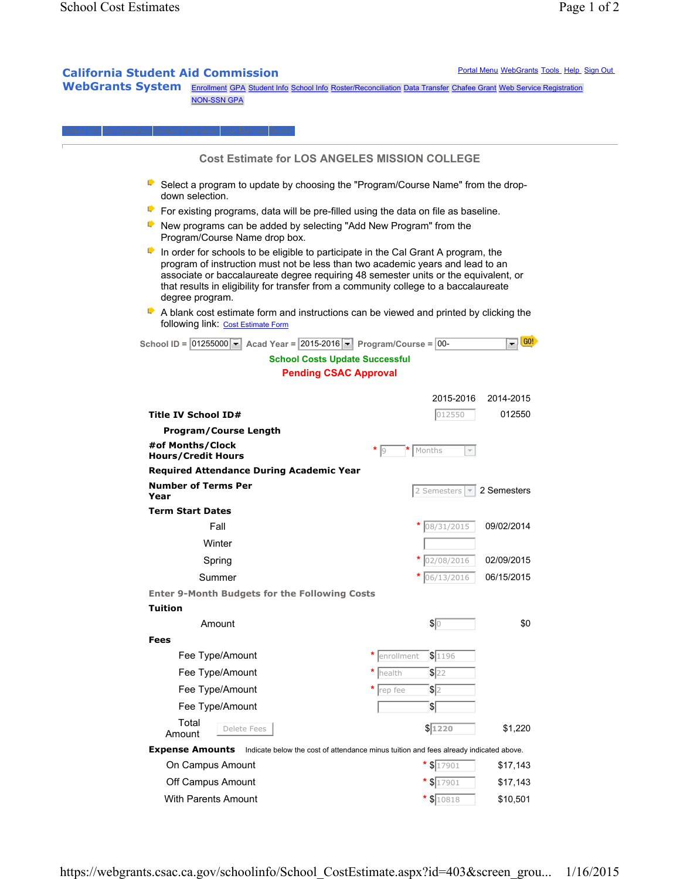## **California Student Aid Commission Portal Menu WebGrants Tools Help Sign Out**

WebGrants System Enrollment GPA Student Info School Info Roster/Reconciliation Data Transfer Chafee Grant Web Service Registration NON-SSN GPA